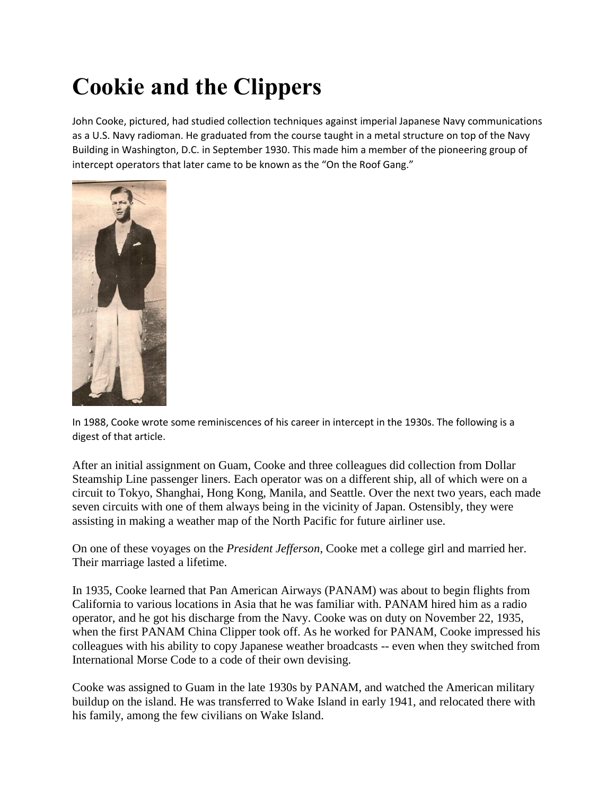## **Cookie and the Clippers**

John Cooke, pictured, had studied collection techniques against imperial Japanese Navy communications as a U.S. Navy radioman. He graduated from the course taught in a metal structure on top of the Navy Building in Washington, D.C. in September 1930. This made him a member of the pioneering group of intercept operators that later came to be known as the "On the Roof Gang."



In 1988, Cooke wrote some reminiscences of his career in intercept in the 1930s. The following is a digest of that article.

After an initial assignment on Guam, Cooke and three colleagues did collection from Dollar Steamship Line passenger liners. Each operator was on a different ship, all of which were on a circuit to Tokyo, Shanghai, Hong Kong, Manila, and Seattle. Over the next two years, each made seven circuits with one of them always being in the vicinity of Japan. Ostensibly, they were assisting in making a weather map of the North Pacific for future airliner use.

On one of these voyages on the *President Jefferson*, Cooke met a college girl and married her. Their marriage lasted a lifetime.

In 1935, Cooke learned that Pan American Airways (PANAM) was about to begin flights from California to various locations in Asia that he was familiar with. PANAM hired him as a radio operator, and he got his discharge from the Navy. Cooke was on duty on November 22, 1935, when the first PANAM China Clipper took off. As he worked for PANAM, Cooke impressed his colleagues with his ability to copy Japanese weather broadcasts -- even when they switched from International Morse Code to a code of their own devising.

Cooke was assigned to Guam in the late 1930s by PANAM, and watched the American military buildup on the island. He was transferred to Wake Island in early 1941, and relocated there with his family, among the few civilians on Wake Island.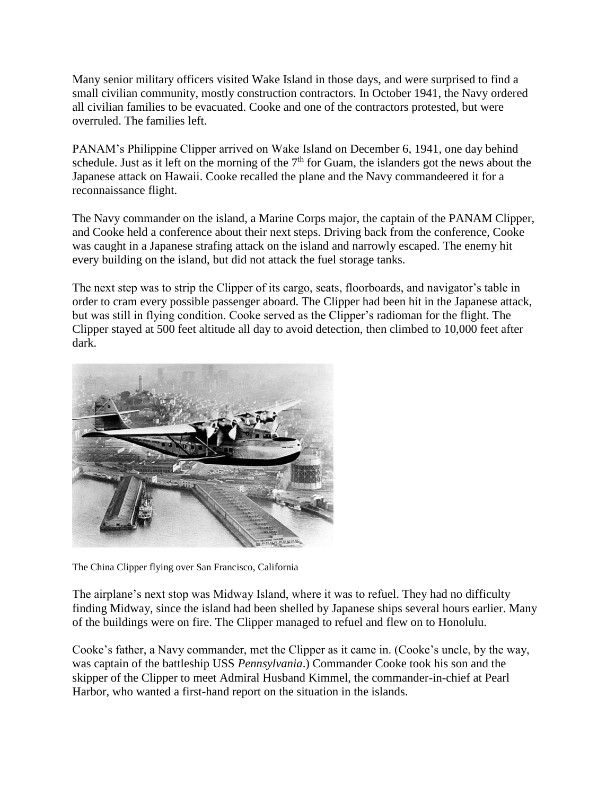Many senior military officers visited Wake Island in those days, and were surprised to find a small civilian community, mostly construction contractors. In October 1941, the Navy ordered all civilian families to be evacuated. Cooke and one of the contractors protested, but were overruled. The families left.

PANAM's Philippine Clipper arrived on Wake Island on December 6, 1941, one day behind schedule. Just as it left on the morning of the  $7<sup>th</sup>$  for Guam, the islanders got the news about the Japanese attack on Hawaii. Cooke recalled the plane and the Navy commandeered it for a reconnaissance flight.

The Navy commander on the island, a Marine Corps major, the captain of the PANAM Clipper, and Cooke held a conference about their next steps. Driving back from the conference, Cooke was caught in a Japanese strafing attack on the island and narrowly escaped. The enemy hit every building on the island, but did not attack the fuel storage tanks.

The next step was to strip the Clipper of its cargo, seats, floorboards, and navigator's table in order to cram every possible passenger aboard. The Clipper had been hit in the Japanese attack, but was still in flying condition. Cooke served as the Clipper's radioman for the flight. The Clipper stayed at 500 feet altitude all day to avoid detection, then climbed to 10,000 feet after dark.



The China Clipper flying over San Francisco, California

The airplane's next stop was Midway Island, where it was to refuel. They had no difficulty finding Midway, since the island had been shelled by Japanese ships several hours earlier. Many of the buildings were on fire. The Clipper managed to refuel and flew on to Honolulu.

Cooke's father, a Navy commander, met the Clipper as it came in. (Cooke's uncle, by the way, was captain of the battleship USS *Pennsylvania*.) Commander Cooke took his son and the skipper of the Clipper to meet Admiral Husband Kimmel, the commander-in-chief at Pearl Harbor, who wanted a first-hand report on the situation in the islands.